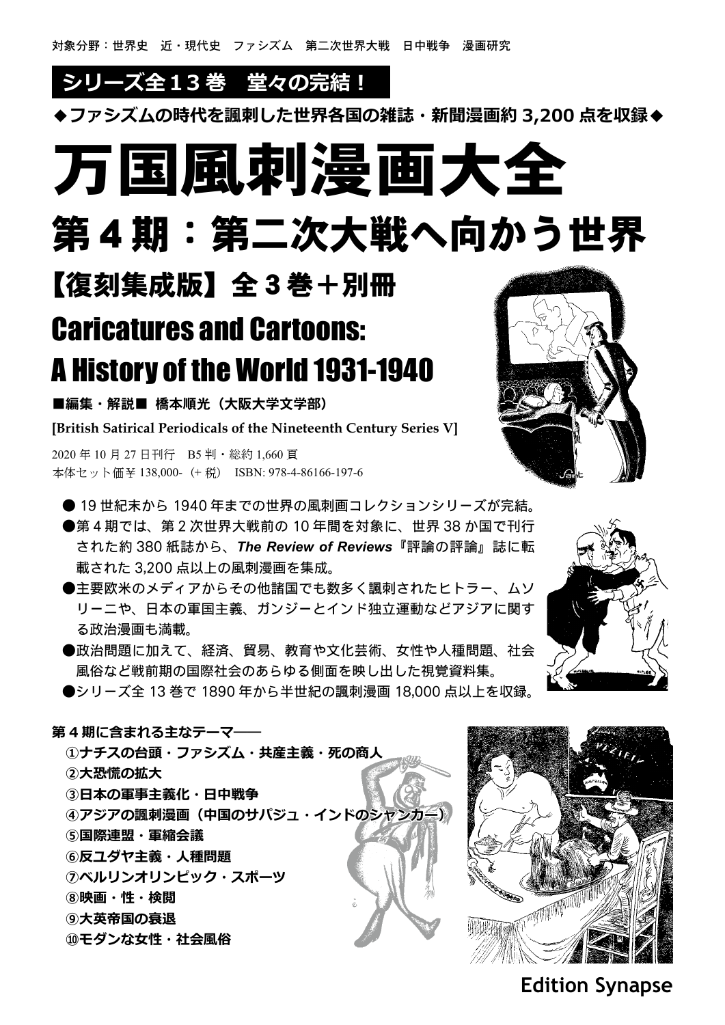## **シリーズ全13 巻 堂々の完結!**

**◆ファシズムの時代を諷刺した世界各国の雑誌・新聞漫画約 3,200 点を収録◆**

# 万国風刺漫画大全

第4期:第二次大戦へ向かう世界

【復刻集成版】全3巻+別冊

## Caricatures and Cartoons: A History of the World 1931-1940

■編集・解説■ 橋本順光(大阪大学文学部)

**[British Satirical Periodicals of the Nineteenth Century Series V]**

2020 年 10 月 27 日刊行 B5 判・総約 1,660 頁 本体セット価¥ 138,000-(+ 税) ISBN: 978-4-86166-197-6

● 19 世紀末から 1940 年までの世界の風刺画コレクションシリーズが完結。

●第4期では、第2次世界大戦前の 10 年間を対象に、世界 38 か国で刊行 された約 380 紙誌から、*The Review of Reviews*『評論の評論』誌に転 載された 3,200 点以上の風刺漫画を集成。

●主要欧米のメディアからその他諸国でも数多く諷刺されたヒトラー、ムソ リーニや、日本の軍国主義、ガンジーとインド独立運動などアジアに関す る政治漫画も満載。

●政治問題に加えて、経済、貿易、教育や文化芸術、女性や人種問題、社会 風俗など戦前期の国際社会のあらゆる側面を映し出した視覚資料集。

●シリーズ全 13 巻で 1890 年から半世紀の諷刺漫画 18,000 点以上を収録。

**第 4 期に含まれる主なテーマ―― ①ナチスの台頭・ファシズム・共産主義・死の商人 ②大恐慌の拡大 ③日本の軍事主義化・日中戦争 ④アジアの諷刺漫画(中国のサパジュ・インドのシャンカー) ⑤国際連盟・軍縮会議 ⑥反ユダヤ主義・人種問題 ⑦ベルリンオリンピック・スポーツ ⑧映画・性・検閲 ⑨大英帝国の衰退 ⑩モダンな女性・社会風俗**





**Edition Synapse**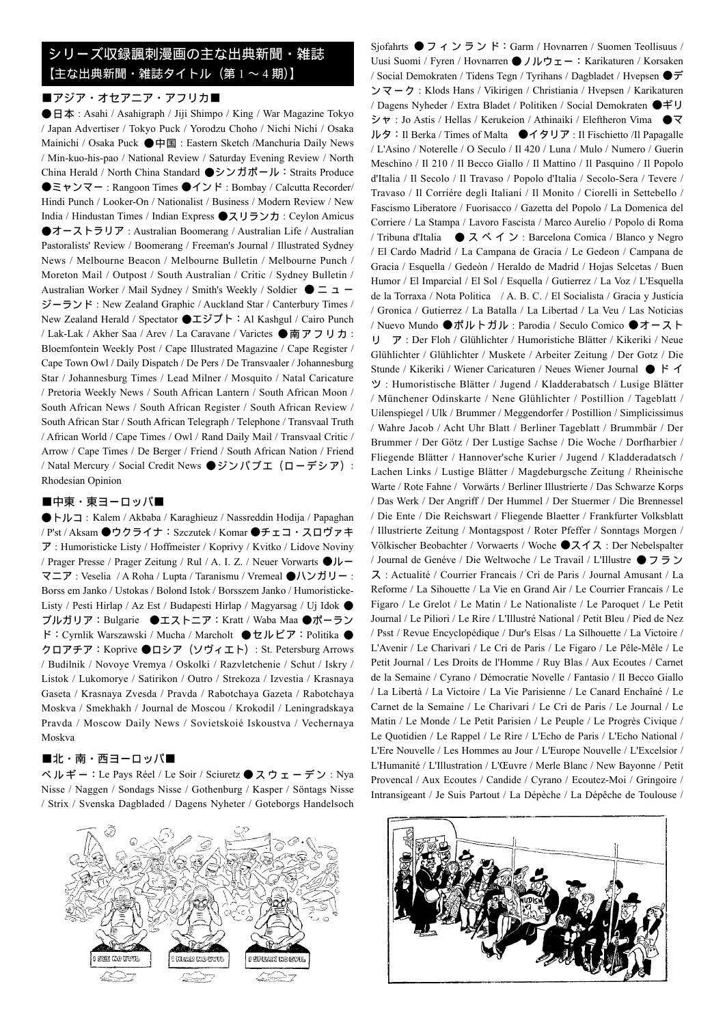#### シリーズ収録諷刺漫画の主な出典新聞・雑誌 【主な出典新聞・雑誌タイトル(第 1 ~ 4 期)】

#### ■アジア・オセアニア・アフリカ■

●日本: Asahi / Asahigraph / Jiji Shimpo / King / War Magazine Tokyo / Japan Advertiser / Tokyo Puck / Yorodzu Choho / Nichi Nichi / Osaka Mainichi / Osaka Puck ●中国 : Eastern Sketch /Manchuria Daily News / Min-kuo-his-pao / National Review / Saturday Evening Review / North China Herald / North China Standard ●シンガポール:Straits Produce ●ミャンマー : Rangoon Times ●インド : Bombay / Calcutta Recorder/ Hindi Punch / Looker-On / Nationalist / Business / Modern Review / New India / Hindustan Times / Indian Express ●スリランカ : Ceylon Amicus ●オーストラリア : Australian Boomerang / Australian Life / Australian Pastoralists' Review / Boomerang / Freeman's Journal / Illustrated Sydney News / Melbourne Beacon / Melbourne Bulletin / Melbourne Punch / Moreton Mail / Outpost / South Australian / Critic / Sydney Bulletin / Australian Worker / Mail Sydney / Smith's Weekly / Soldier ●ニュー ジーランド : New Zealand Graphic / Auckland Star / Canterbury Times / New Zealand Herald / Spectator ●エジプト:Al Kashgul / Cairo Punch / Lak-Lak / Akher Saa / Arev / La Caravane / Varictes ●南アフリカ: Bloemfontein Weekly Post / Cape Illustrated Magazine / Cape Register / Cape Town Owl / Daily Dispatch / De Pers / De Transvaaler / Johannesburg Star / Johannesburg Times / Lead Milner / Mosquito / Natal Caricature / Pretoria Weekly News / South African Lantern / South African Moon / South African News / South African Register / South African Review / South African Star / South African Telegraph / Telephone / Transvaal Truth / African World / Cape Times / Owl / Rand Daily Mail / Transvaal Critic / Arrow / Cape Times / De Berger / Friend / South African Nation / Friend / Natal Mercury / Social Credit News ●ジンバブエ(ローデシア): Rhodesian Opinion

#### ■中東・東ヨーロッパ■

●トルコ : Kalem / Akbaba / Karaghieuz / Nassreddin Hodija / Papaghan / P'st / Aksam ●ウクライナ:Szczutek / Komar ●チェコ・スロヴァキ ア : Humoristicke Listy / Hoffmeister / Koprivy / Kvitko / Lidove Noviny / Prager Presse / Prager Zeitung / Rul / A. I. Z. / Neuer Vorwarts ●ルー マニア : Veselia / A Roha / Lupta / Taranismu / Vremeal ●ハンガリー : Borss em Janko / Ustokas / Bolond Istok / Borsszem Janko / Humoristicke-Listy / Pesti Hirlap / Az Est / Budapesti Hirlap / Magyarsag / Uj Idok ● ブルガリア:Bulgarie ●エストニア:Kratt / Waba Maa ●ポーラン ド:Cyrnlik Warszawski / Mucha / Marcholt ●セルビア:Politika ● クロアチア:Koprive ●ロシア(ソヴィエト): St. Petersburg Arrows / Budilnik / Novoye Vremya / Oskolki / Razvletchenie / Schut / Iskry / Listok / Lukomorye / Satirikon / Outro / Strekoza / Izvestia / Krasnaya Gaseta / Krasnaya Zvesda / Pravda / Rabotchaya Gazeta / Rabotchaya Moskva / Smekhakh / Journal de Moscou / Krokodil / Leningradskaya Pravda / Moscow Daily News / Sovietskoié Iskoustva / Vechernaya Moskva

#### ■北・南・西ヨーロッパ■

ベ ル ギ ー:Le Pays Réel / Le Soir / Sciuretz ● スウェーデン : Nya Nisse / Naggen / Sondags Nisse / Gothenburg / Kasper / Söntags Nisse / Strix / Svenska Dagbladed / Dagens Nyheter / Goteborgs Handelsoch



Sjofahrts  $\bigcirc$  フィンランド: Garm / Hovnarren / Suomen Teollisuus / Uusi Suomi / Fyren / Hovnarren ●ノルウェー: Karikaturen / Korsaken / Social Demokraten / Tidens Tegn / Tyrihans / Dagbladet / Hvepsen ●デ ンマーク : Klods Hans / Vikirigen / Christiania / Hvepsen / Karikaturen / Dagens Nyheder / Extra Bladet / Politiken / Social Demokraten ●ギリ シャ : Jo Astis / Hellas / Kerukeion / Athinaiki / Eleftheron Vima ●マ ルタ:Il Berka / Times of Malta ●イタリア : Il Fischietto /Il Papagalle / L'Asino / Noterelle / O Seculo / Il 420 / Luna / Mulo / Numero / Guerin Meschino / Il 210 / Il Becco Giallo / Il Mattino / Il Pasquino / Il Popolo d'Italia / Il Secolo / Il Travaso / Popolo d'Italia / Secolo-Sera / Tevere / Travaso / Il Corriére degli Italiani / Il Monito / Ciorelli in Settebello / Fascismo Liberatore / Fuorisacco / Gazetta del Popolo / La Domenica del Corriere / La Stampa / Lavoro Fascista / Marco Aurelio / Popolo di Roma / Tribuna d'Italia ● スペイン : Barcelona Comica / Blanco y Negro / El Cardo Madrid / La Campana de Gracia / Le Gedeon / Campana de Gracia / Esquella / Gedeòn / Heraldo de Madrid / Hojas Selcetas / Buen Humor / El Imparcial / El Sol / Esquella / Gutierrez / La Voz / L'Esquella de la Torraxa / Nota Politica / A. B. C. / El Socialista / Gracia y Justicia / Gronica / Gutierrez / La Batalla / La Libertad / La Veu / Las Noticias / Nuevo Mundo ●ポルトガル : Parodia / Seculo Comico ●オースト リ ア : Der Floh / Glühlichter / Humoristiche Blätter / Kikeriki / Neue Glühlichter / Glühlichter / Muskete / Arbeiter Zeitung / Der Gotz / Die Stunde / Kikeriki / Wiener Caricaturen / Neues Wiener Journal ● ド イ ツ : Humoristische Blätter / Jugend / Kladderabatsch / Lusige Blätter / Münchener Odinskarte / Nene Glühlichter / Postillion / Tageblatt / Uilenspiegel / Ulk / Brummer / Meggendorfer / Postillion / Simplicissimus / Wahre Jacob / Acht Uhr Blatt / Berliner Tageblatt / Brummbär / Der Brummer / Der Götz / Der Lustige Sachse / Die Woche / Dorfharbier / Fliegende Blätter / Hannover'sche Kurier / Jugend / Kladderadatsch / Lachen Links / Lustige Blätter / Magdeburgsche Zeitung / Rheinische Warte / Rote Fahne / Vorwärts / Berliner Illustrierte / Das Schwarze Korps / Das Werk / Der Angriff / Der Hummel / Der Stuermer / Die Brennessel / Die Ente / Die Reichswart / Fliegende Blaetter / Frankfurter Volksblatt / Illustrierte Zeitung / Montagspost / Roter Pfeffer / Sonntags Morgen / Völkischer Beobachter / Vorwaerts / Woche ●スイス : Der Nebelspalter / Journal de Genéve / Die Weltwoche / Le Travail / L'Illustre ● フラン ス : Actualité / Courrier Francais / Cri de Paris / Journal Amusant / La Reforme / La Sihouette / La Vie en Grand Air / Le Courrier Francais / Le Figaro / Le Grelot / Le Matin / Le Nationaliste / Le Paroquet / Le Petit Journal / Le Piliori / Le Rire / L'Illustré National / Petit Bleu / Pied de Nez / Psst / Revue Encyclopédique / Dur's Elsas / La Silhouette / La Victoire / L'Avenir / Le Charivari / Le Cri de Paris / Le Figaro / Le Pêle-Mêle / Le Petit Journal / Les Droits de l'Homme / Ruy Blas / Aux Ecoutes / Carnet de la Semaine / Cyrano / Démocratie Novelle / Fantasio / Il Becco Giallo / La Libertà / La Victoire / La Vie Parisienne / Le Canard Enchaîné / Le Carnet de la Semaine / Le Charivari / Le Cri de Paris / Le Journal / Le Matin / Le Monde / Le Petit Parisien / Le Peuple / Le Progrès Civique / Le Quotidien / Le Rappel / Le Rire / L'Echo de Paris / L'Echo National / L'Ere Nouvelle / Les Hommes au Jour / L'Europe Nouvelle / L'Excelsior / L'Humanité / L'Illustration / L'Œuvre / Merle Blanc / New Bayonne / Petit Provencal / Aux Ecoutes / Candide / Cyrano / Ecoutez-Moi / Gringoire / Intransigeant / Je Suis Partout / La Dépèche / La Dépêche de Toulouse /

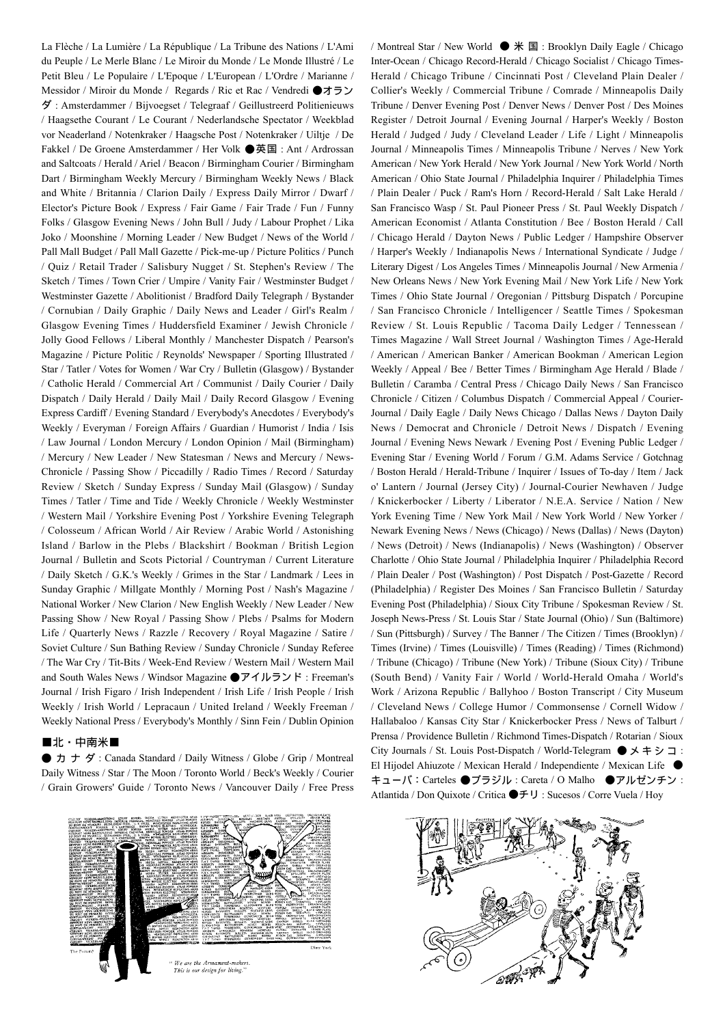La Flèche / La Lumière / La République / La Tribune des Nations / L'Ami du Peuple / Le Merle Blanc / Le Miroir du Monde / Le Monde Illustré / Le Petit Bleu / Le Populaire / L'Epoque / L'European / L'Ordre / Marianne / Messidor / Miroir du Monde / Regards / Ric et Rac / Vendredi ●オラン ダ : Amsterdammer / Bijvoegset / Telegraaf / Geillustreerd Politienieuws / Haagsethe Courant / Le Courant / Nederlandsche Spectator / Weekblad vor Neaderland / Notenkraker / Haagsche Post / Notenkraker / Uiltje / De Fakkel / De Groene Amsterdammer / Her Volk ●英国 : Ant / Ardrossan and Saltcoats / Herald / Ariel / Beacon / Birmingham Courier / Birmingham Dart / Birmingham Weekly Mercury / Birmingham Weekly News / Black and White / Britannia / Clarion Daily / Express Daily Mirror / Dwarf / Elector's Picture Book / Express / Fair Game / Fair Trade / Fun / Funny Folks / Glasgow Evening News / John Bull / Judy / Labour Prophet / Lika Joko / Moonshine / Morning Leader / New Budget / News of the World / Pall Mall Budget / Pall Mall Gazette / Pick-me-up / Picture Politics / Punch / Quiz / Retail Trader / Salisbury Nugget / St. Stephen's Review / The Sketch / Times / Town Crier / Umpire / Vanity Fair / Westminster Budget / Westminster Gazette / Abolitionist / Bradford Daily Telegraph / Bystander / Cornubian / Daily Graphic / Daily News and Leader / Girl's Realm / Glasgow Evening Times / Huddersfield Examiner / Jewish Chronicle / Jolly Good Fellows / Liberal Monthly / Manchester Dispatch / Pearson's Magazine / Picture Politic / Reynolds' Newspaper / Sporting Illustrated / Star / Tatler / Votes for Women / War Cry / Bulletin (Glasgow) / Bystander / Catholic Herald / Commercial Art / Communist / Daily Courier / Daily Dispatch / Daily Herald / Daily Mail / Daily Record Glasgow / Evening Express Cardiff / Evening Standard / Everybody's Anecdotes / Everybody's Weekly / Everyman / Foreign Affairs / Guardian / Humorist / India / Isis / Law Journal / London Mercury / London Opinion / Mail (Birmingham) / Mercury / New Leader / New Statesman / News and Mercury / News-Chronicle / Passing Show / Piccadilly / Radio Times / Record / Saturday Review / Sketch / Sunday Express / Sunday Mail (Glasgow) / Sunday Times / Tatler / Time and Tide / Weekly Chronicle / Weekly Westminster / Western Mail / Yorkshire Evening Post / Yorkshire Evening Telegraph / Colosseum / African World / Air Review / Arabic World / Astonishing Island / Barlow in the Plebs / Blackshirt / Bookman / British Legion Journal / Bulletin and Scots Pictorial / Countryman / Current Literature / Daily Sketch / G.K.'s Weekly / Grimes in the Star / Landmark / Lees in Sunday Graphic / Millgate Monthly / Morning Post / Nash's Magazine / National Worker / New Clarion / New English Weekly / New Leader / New Passing Show / New Royal / Passing Show / Plebs / Psalms for Modern Life / Quarterly News / Razzle / Recovery / Royal Magazine / Satire / Soviet Culture / Sun Bathing Review / Sunday Chronicle / Sunday Referee / The War Cry / Tit-Bits / Week-End Review / Western Mail / Western Mail and South Wales News / Windsor Magazine ●アイルランド : Freeman's Journal / Irish Figaro / Irish Independent / Irish Life / Irish People / Irish Weekly / Irish World / Lepracaun / United Ireland / Weekly Freeman / Weekly National Press / Everybody's Monthly / Sinn Fein / Dublin Opinion

#### ■北・中南米■

●カナダ : Canada Standard / Daily Witness / Globe / Grip / Montreal Daily Witness / Star / The Moon / Toronto World / Beck's Weekly / Courier / Grain Growers' Guide / Toronto News / Vancouver Daily / Free Press



/ Montreal Star / New World ● 米 国 : Brooklyn Daily Eagle / Chicago Inter-Ocean / Chicago Record-Herald / Chicago Socialist / Chicago Times-Herald / Chicago Tribune / Cincinnati Post / Cleveland Plain Dealer / Collier's Weekly / Commercial Tribune / Comrade / Minneapolis Daily Tribune / Denver Evening Post / Denver News / Denver Post / Des Moines Register / Detroit Journal / Evening Journal / Harper's Weekly / Boston Herald / Judged / Judy / Cleveland Leader / Life / Light / Minneapolis Journal / Minneapolis Times / Minneapolis Tribune / Nerves / New York American / New York Herald / New York Journal / New York World / North American / Ohio State Journal / Philadelphia Inquirer / Philadelphia Times / Plain Dealer / Puck / Ram's Horn / Record-Herald / Salt Lake Herald / San Francisco Wasp / St. Paul Pioneer Press / St. Paul Weekly Dispatch / American Economist / Atlanta Constitution / Bee / Boston Herald / Call / Chicago Herald / Dayton News / Public Ledger / Hampshire Observer / Harper's Weekly / Indianapolis News / International Syndicate / Judge / Literary Digest / Los Angeles Times / Minneapolis Journal / New Armenia / New Orleans News / New York Evening Mail / New York Life / New York Times / Ohio State Journal / Oregonian / Pittsburg Dispatch / Porcupine / San Francisco Chronicle / Intelligencer / Seattle Times / Spokesman Review / St. Louis Republic / Tacoma Daily Ledger / Tennessean / Times Magazine / Wall Street Journal / Washington Times / Age-Herald / American / American Banker / American Bookman / American Legion Weekly / Appeal / Bee / Better Times / Birmingham Age Herald / Blade / Bulletin / Caramba / Central Press / Chicago Daily News / San Francisco Chronicle / Citizen / Columbus Dispatch / Commercial Appeal / Courier-Journal / Daily Eagle / Daily News Chicago / Dallas News / Dayton Daily News / Democrat and Chronicle / Detroit News / Dispatch / Evening Journal / Evening News Newark / Evening Post / Evening Public Ledger / Evening Star / Evening World / Forum / G.M. Adams Service / Gotchnag / Boston Herald / Herald-Tribune / Inquirer / Issues of To-day / Item / Jack o' Lantern / Journal (Jersey City) / Journal-Courier Newhaven / Judge / Knickerbocker / Liberty / Liberator / N.E.A. Service / Nation / New York Evening Time / New York Mail / New York World / New Yorker / Newark Evening News / News (Chicago) / News (Dallas) / News (Dayton) / News (Detroit) / News (Indianapolis) / News (Washington) / Observer Charlotte / Ohio State Journal / Philadelphia Inquirer / Philadelphia Record / Plain Dealer / Post (Washington) / Post Dispatch / Post-Gazette / Record (Philadelphia) / Register Des Moines / San Francisco Bulletin / Saturday Evening Post (Philadelphia) / Sioux City Tribune / Spokesman Review / St. Joseph News-Press / St. Louis Star / State Journal (Ohio) / Sun (Baltimore) / Sun (Pittsburgh) / Survey / The Banner / The Citizen / Times (Brooklyn) / Times (Irvine) / Times (Louisville) / Times (Reading) / Times (Richmond) / Tribune (Chicago) / Tribune (New York) / Tribune (Sioux City) / Tribune (South Bend) / Vanity Fair / World / World-Herald Omaha / World's Work / Arizona Republic / Ballyhoo / Boston Transcript / City Museum / Cleveland News / College Humor / Commonsense / Cornell Widow / Hallabaloo / Kansas City Star / Knickerbocker Press / News of Talburt / Prensa / Providence Bulletin / Richmond Times-Dispatch / Rotarian / Sioux City Journals / St. Louis Post-Dispatch / World-Telegram ● メキシコ : El Hijodel Ahiuzote / Mexican Herald / Independiente / Mexican Life ● キューバ:Carteles ●ブラジル : Careta / O Malho ●アルゼンチン : Atlantida / Don Quixote / Critica ●チリ : Sucesos / Corre Vuela / Hoy